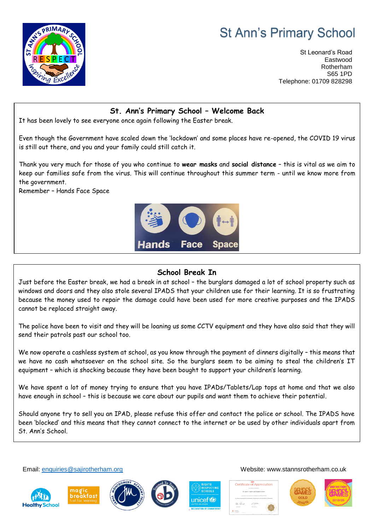# **St Ann's Primary School**



St Leonard's Road Eastwood Rotherham S65 1PD Telephone: 01709 828298

### **St. Ann's Primary School – Welcome Back**

It has been lovely to see everyone once again following the Easter break.

Even though the Government have scaled down the 'lockdown' and some places have re-opened, the COVID 19 virus is still out there, and you and your family could still catch it.

Thank you very much for those of you who continue to **wear masks** and **social distance** – this is vital as we aim to keep our families safe from the virus. This will continue throughout this summer term - until we know more from the government.

Remember – Hands Face Space



## **School Break In**

Just before the Easter break, we had a break in at school – the burglars damaged a lot of school property such as windows and doors and they also stole several IPADS that your children use for their learning. It is so frustrating because the money used to repair the damage could have been used for more creative purposes and the IPADS cannot be replaced straight away.

The police have been to visit and they will be loaning us some CCTV equipment and they have also said that they will send their patrols past our school too.

We now operate a cashless system at school, as you know through the payment of dinners digitally – this means that we have no cash whatsoever on the school site. So the burglars seem to be aiming to steal the children's IT equipment – which is shocking because they have been bought to support your children's learning.

We have spent a lot of money trying to ensure that you have IPADs/Tablets/Lap tops at home and that we also have enough in school – this is because we care about our pupils and want them to achieve their potential.

Should anyone try to sell you an IPAD, please refuse this offer and contact the police or school. The IPADS have been 'blocked' and this means that they cannot connect to the internet or be used by other individuals apart from St. Ann's School.











Email: [enquiries@sajirotherham.org](mailto:enquiries@sajirotherham.org) Website: www.stannsrotherham.co.uk